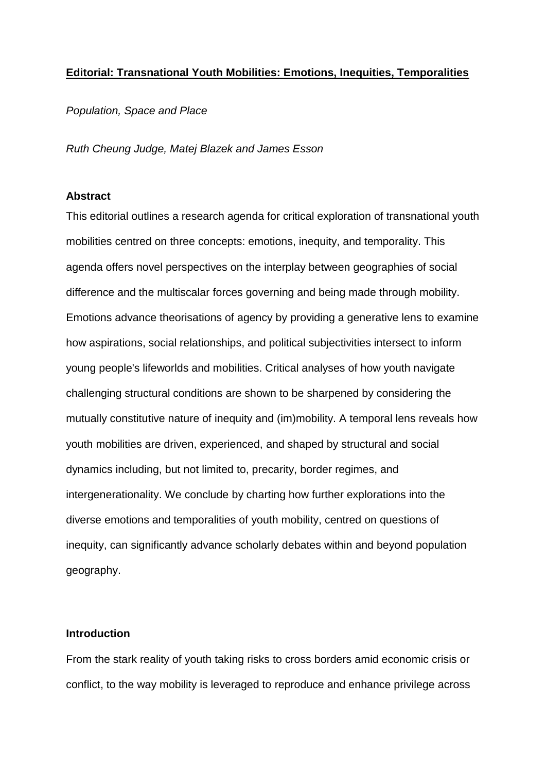### **Editorial: Transnational Youth Mobilities: Emotions, Inequities, Temporalities**

*Population, Space and Place*

*Ruth Cheung Judge, Matej Blazek and James Esson*

### **Abstract**

This editorial outlines a research agenda for critical exploration of transnational youth mobilities centred on three concepts: emotions, inequity, and temporality. This agenda offers novel perspectives on the interplay between geographies of social difference and the multiscalar forces governing and being made through mobility. Emotions advance theorisations of agency by providing a generative lens to examine how aspirations, social relationships, and political subjectivities intersect to inform young people's lifeworlds and mobilities. Critical analyses of how youth navigate challenging structural conditions are shown to be sharpened by considering the mutually constitutive nature of inequity and (im)mobility. A temporal lens reveals how youth mobilities are driven, experienced, and shaped by structural and social dynamics including, but not limited to, precarity, border regimes, and intergenerationality. We conclude by charting how further explorations into the diverse emotions and temporalities of youth mobility, centred on questions of inequity, can significantly advance scholarly debates within and beyond population geography.

# **Introduction**

From the stark reality of youth taking risks to cross borders amid economic crisis or conflict, to the way mobility is leveraged to reproduce and enhance privilege across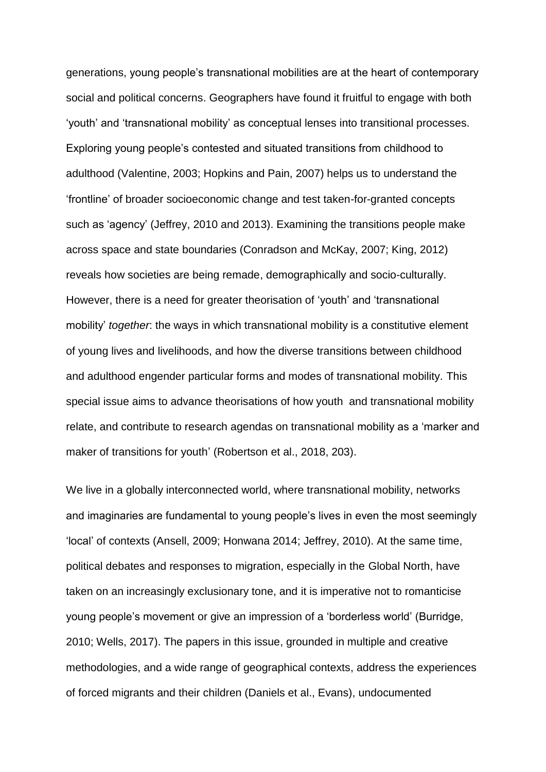generations, young people's transnational mobilities are at the heart of contemporary social and political concerns. Geographers have found it fruitful to engage with both 'youth' and 'transnational mobility' as conceptual lenses into transitional processes. Exploring young people's contested and situated transitions from childhood to adulthood (Valentine, 2003; Hopkins and Pain, 2007) helps us to understand the 'frontline' of broader socioeconomic change and test taken-for-granted concepts such as 'agency' (Jeffrey, 2010 and 2013). Examining the transitions people make across space and state boundaries (Conradson and McKay, 2007; King, 2012) reveals how societies are being remade, demographically and socio-culturally. However, there is a need for greater theorisation of 'youth' and 'transnational mobility' *together*: the ways in which transnational mobility is a constitutive element of young lives and livelihoods, and how the diverse transitions between childhood and adulthood engender particular forms and modes of transnational mobility. This special issue aims to advance theorisations of how youth and transnational mobility relate, and contribute to research agendas on transnational mobility as a 'marker and maker of transitions for youth' (Robertson et al., 2018, 203).

We live in a globally interconnected world, where transnational mobility, networks and imaginaries are fundamental to young people's lives in even the most seemingly 'local' of contexts (Ansell, 2009; Honwana 2014; Jeffrey, 2010). At the same time, political debates and responses to migration, especially in the Global North, have taken on an increasingly exclusionary tone, and it is imperative not to romanticise young people's movement or give an impression of a 'borderless world' (Burridge, 2010; Wells, 2017). The papers in this issue, grounded in multiple and creative methodologies, and a wide range of geographical contexts, address the experiences of forced migrants and their children (Daniels et al., Evans), undocumented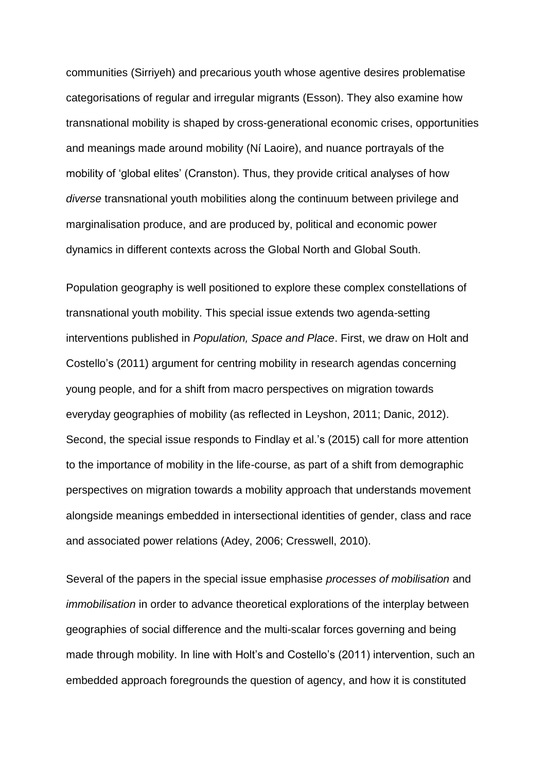communities (Sirriyeh) and precarious youth whose agentive desires problematise categorisations of regular and irregular migrants (Esson). They also examine how transnational mobility is shaped by cross-generational economic crises, opportunities and meanings made around mobility (Ní Laoire), and nuance portrayals of the mobility of 'global elites' (Cranston). Thus, they provide critical analyses of how *diverse* transnational youth mobilities along the continuum between privilege and marginalisation produce, and are produced by, political and economic power dynamics in different contexts across the Global North and Global South.

Population geography is well positioned to explore these complex constellations of transnational youth mobility. This special issue extends two agenda-setting interventions published in *Population, Space and Place*. First, we draw on Holt and Costello's (2011) argument for centring mobility in research agendas concerning young people, and for a shift from macro perspectives on migration towards everyday geographies of mobility (as reflected in Leyshon, 2011; Danic, 2012). Second, the special issue responds to Findlay et al.'s (2015) call for more attention to the importance of mobility in the life-course, as part of a shift from demographic perspectives on migration towards a mobility approach that understands movement alongside meanings embedded in intersectional identities of gender, class and race and associated power relations (Adey, 2006; Cresswell, 2010).

Several of the papers in the special issue emphasise *processes of mobilisation* and *immobilisation* in order to advance theoretical explorations of the interplay between geographies of social difference and the multi-scalar forces governing and being made through mobility. In line with Holt's and Costello's (2011) intervention, such an embedded approach foregrounds the question of agency, and how it is constituted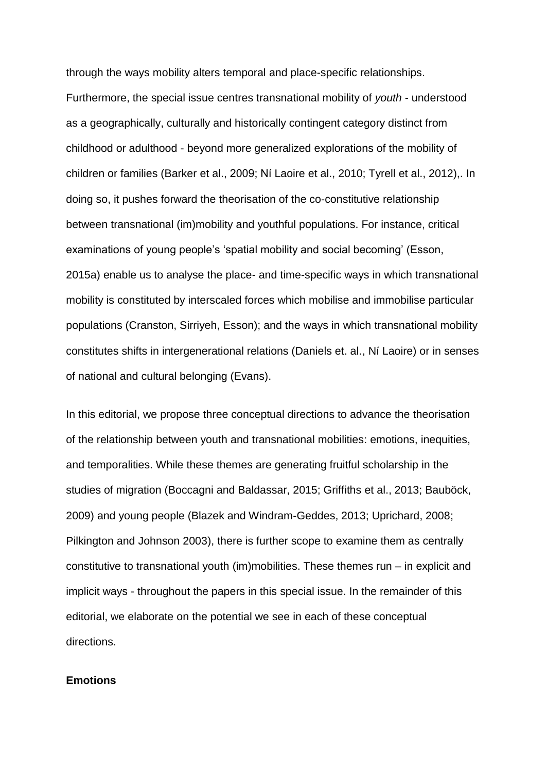through the ways mobility alters temporal and place-specific relationships. Furthermore, the special issue centres transnational mobility of *youth* - understood as a geographically, culturally and historically contingent category distinct from childhood or adulthood - beyond more generalized explorations of the mobility of children or families (Barker et al., 2009; Ní Laoire et al., 2010; Tyrell et al., 2012),. In doing so, it pushes forward the theorisation of the co-constitutive relationship between transnational (im)mobility and youthful populations. For instance, critical examinations of young people's 'spatial mobility and social becoming' (Esson, 2015a) enable us to analyse the place- and time-specific ways in which transnational mobility is constituted by interscaled forces which mobilise and immobilise particular populations (Cranston, Sirriyeh, Esson); and the ways in which transnational mobility constitutes shifts in intergenerational relations (Daniels et. al., Ní Laoire) or in senses of national and cultural belonging (Evans).

In this editorial, we propose three conceptual directions to advance the theorisation of the relationship between youth and transnational mobilities: emotions, inequities, and temporalities. While these themes are generating fruitful scholarship in the studies of migration (Boccagni and Baldassar, 2015; Griffiths et al., 2013; Bauböck, 2009) and young people (Blazek and Windram-Geddes, 2013; Uprichard, 2008; Pilkington and Johnson 2003), there is further scope to examine them as centrally constitutive to transnational youth (im)mobilities. These themes run – in explicit and implicit ways - throughout the papers in this special issue. In the remainder of this editorial, we elaborate on the potential we see in each of these conceptual directions.

### **Emotions**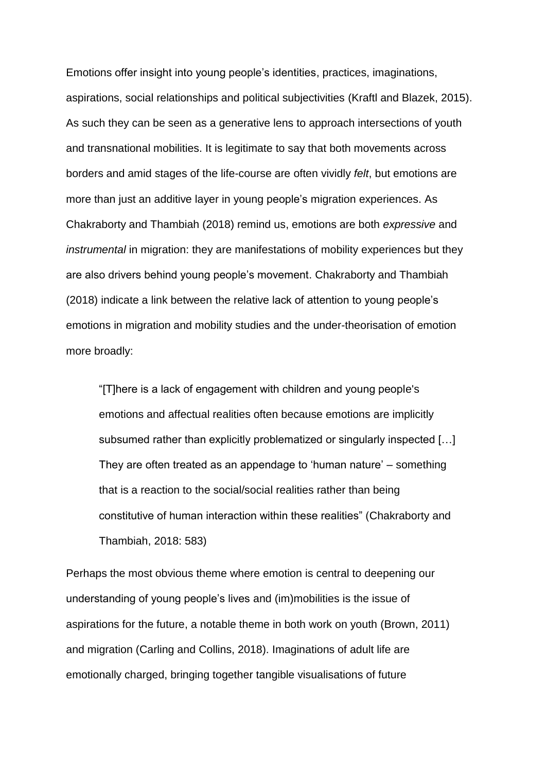Emotions offer insight into young people's identities, practices, imaginations, aspirations, social relationships and political subjectivities (Kraftl and Blazek, 2015). As such they can be seen as a generative lens to approach intersections of youth and transnational mobilities. It is legitimate to say that both movements across borders and amid stages of the life-course are often vividly *felt*, but emotions are more than just an additive layer in young people's migration experiences. As Chakraborty and Thambiah (2018) remind us, emotions are both *expressive* and *instrumental* in migration: they are manifestations of mobility experiences but they are also drivers behind young people's movement. Chakraborty and Thambiah (2018) indicate a link between the relative lack of attention to young people's emotions in migration and mobility studies and the under-theorisation of emotion more broadly:

"[T]here is a lack of engagement with children and young people's emotions and affectual realities often because emotions are implicitly subsumed rather than explicitly problematized or singularly inspected […] They are often treated as an appendage to 'human nature' – something that is a reaction to the social/social realities rather than being constitutive of human interaction within these realities" (Chakraborty and Thambiah, 2018: 583)

Perhaps the most obvious theme where emotion is central to deepening our understanding of young people's lives and (im)mobilities is the issue of aspirations for the future, a notable theme in both work on youth (Brown, 2011) and migration (Carling and Collins, 2018). Imaginations of adult life are emotionally charged, bringing together tangible visualisations of future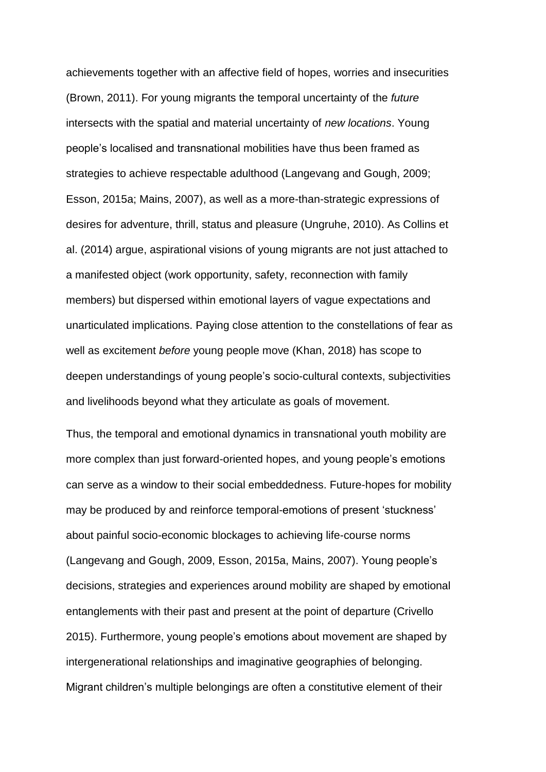achievements together with an affective field of hopes, worries and insecurities (Brown, 2011). For young migrants the temporal uncertainty of the *future* intersects with the spatial and material uncertainty of *new locations*. Young people's localised and transnational mobilities have thus been framed as strategies to achieve respectable adulthood (Langevang and Gough, 2009; Esson, 2015a; Mains, 2007), as well as a more-than-strategic expressions of desires for adventure, thrill, status and pleasure (Ungruhe, 2010). As Collins et al. (2014) argue, aspirational visions of young migrants are not just attached to a manifested object (work opportunity, safety, reconnection with family members) but dispersed within emotional layers of vague expectations and unarticulated implications. Paying close attention to the constellations of fear as well as excitement *before* young people move (Khan, 2018) has scope to deepen understandings of young people's socio-cultural contexts, subjectivities and livelihoods beyond what they articulate as goals of movement.

Thus, the temporal and emotional dynamics in transnational youth mobility are more complex than just forward-oriented hopes, and young people's emotions can serve as a window to their social embeddedness. Future-hopes for mobility may be produced by and reinforce temporal-emotions of present 'stuckness' about painful socio-economic blockages to achieving life-course norms (Langevang and Gough, 2009, Esson, 2015a, Mains, 2007). Young people's decisions, strategies and experiences around mobility are shaped by emotional entanglements with their past and present at the point of departure (Crivello 2015). Furthermore, young people's emotions about movement are shaped by intergenerational relationships and imaginative geographies of belonging. Migrant children's multiple belongings are often a constitutive element of their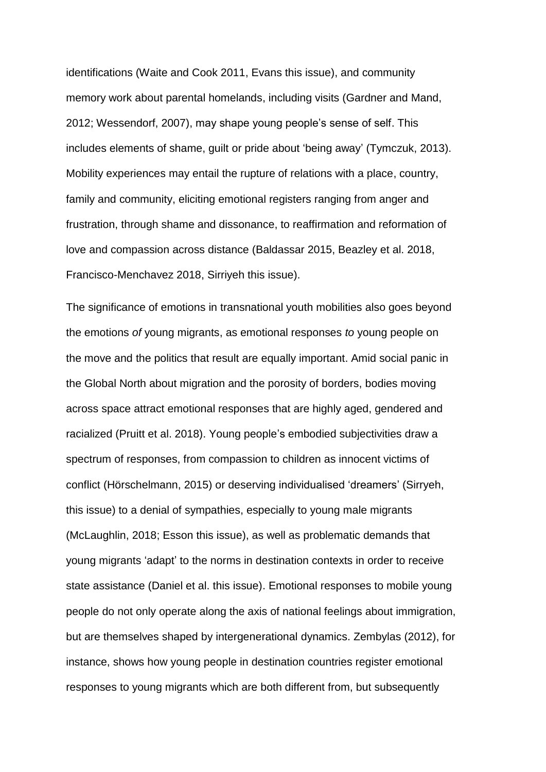identifications (Waite and Cook 2011, Evans this issue), and community memory work about parental homelands, including visits (Gardner and Mand, 2012; Wessendorf, 2007), may shape young people's sense of self. This includes elements of shame, guilt or pride about 'being away' (Tymczuk, 2013). Mobility experiences may entail the rupture of relations with a place, country, family and community, eliciting emotional registers ranging from anger and frustration, through shame and dissonance, to reaffirmation and reformation of love and compassion across distance (Baldassar 2015, Beazley et al. 2018, Francisco-Menchavez 2018, Sirriyeh this issue).

The significance of emotions in transnational youth mobilities also goes beyond the emotions *of* young migrants, as emotional responses *to* young people on the move and the politics that result are equally important. Amid social panic in the Global North about migration and the porosity of borders, bodies moving across space attract emotional responses that are highly aged, gendered and racialized (Pruitt et al. 2018). Young people's embodied subjectivities draw a spectrum of responses, from compassion to children as innocent victims of conflict (Hörschelmann, 2015) or deserving individualised 'dreamers' (Sirryeh, this issue) to a denial of sympathies, especially to young male migrants (McLaughlin, 2018; Esson this issue), as well as problematic demands that young migrants 'adapt' to the norms in destination contexts in order to receive state assistance (Daniel et al. this issue). Emotional responses to mobile young people do not only operate along the axis of national feelings about immigration, but are themselves shaped by intergenerational dynamics. Zembylas (2012), for instance, shows how young people in destination countries register emotional responses to young migrants which are both different from, but subsequently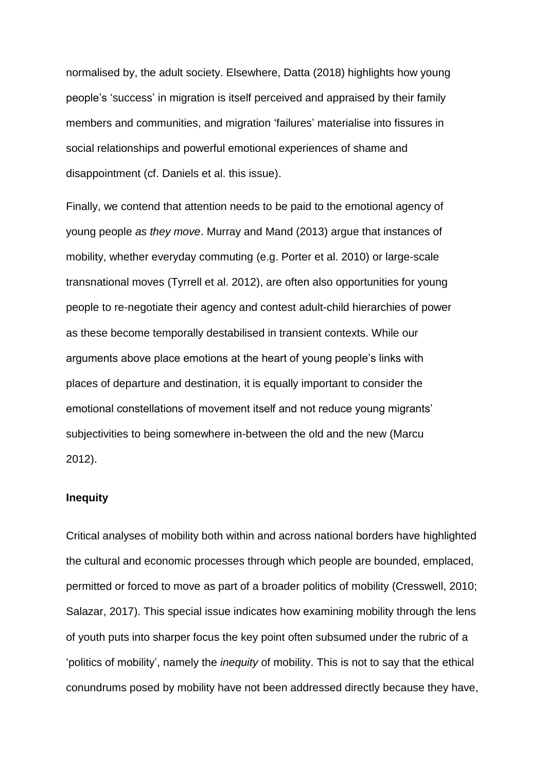normalised by, the adult society. Elsewhere, Datta (2018) highlights how young people's 'success' in migration is itself perceived and appraised by their family members and communities, and migration 'failures' materialise into fissures in social relationships and powerful emotional experiences of shame and disappointment (cf. Daniels et al. this issue).

Finally, we contend that attention needs to be paid to the emotional agency of young people *as they move*. Murray and Mand (2013) argue that instances of mobility, whether everyday commuting (e.g. Porter et al. 2010) or large-scale transnational moves (Tyrrell et al. 2012), are often also opportunities for young people to re-negotiate their agency and contest adult-child hierarchies of power as these become temporally destabilised in transient contexts. While our arguments above place emotions at the heart of young people's links with places of departure and destination, it is equally important to consider the emotional constellations of movement itself and not reduce young migrants' subjectivities to being somewhere in-between the old and the new (Marcu 2012).

# **Inequity**

Critical analyses of mobility both within and across national borders have highlighted the cultural and economic processes through which people are bounded, emplaced, permitted or forced to move as part of a broader politics of mobility (Cresswell, 2010; Salazar, 2017). This special issue indicates how examining mobility through the lens of youth puts into sharper focus the key point often subsumed under the rubric of a 'politics of mobility', namely the *inequity* of mobility. This is not to say that the ethical conundrums posed by mobility have not been addressed directly because they have,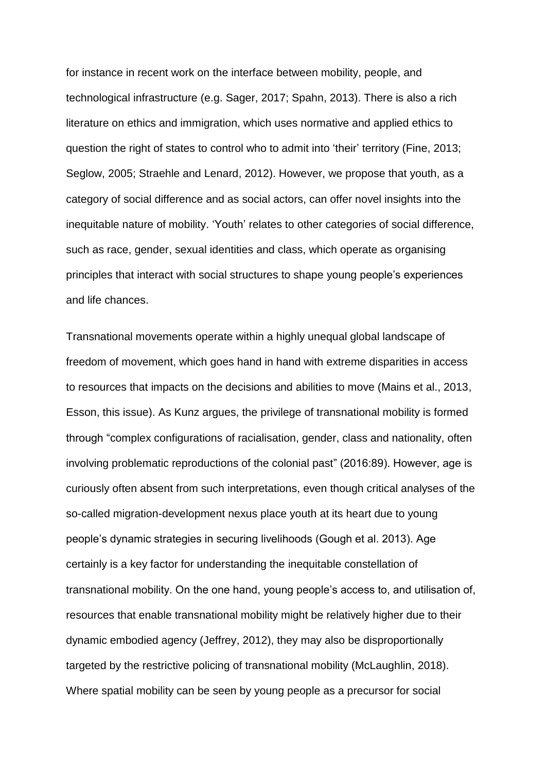for instance in recent work on the interface between mobility, people, and technological infrastructure (e.g. Sager, 2017; Spahn, 2013). There is also a rich literature on ethics and immigration, which uses normative and applied ethics to question the right of states to control who to admit into 'their' territory (Fine, 2013; Seglow, 2005; Straehle and Lenard, 2012). However, we propose that youth, as a category of social difference and as social actors, can offer novel insights into the inequitable nature of mobility. 'Youth' relates to other categories of social difference, such as race, gender, sexual identities and class, which operate as organising principles that interact with social structures to shape young people's experiences and life chances.

Transnational movements operate within a highly unequal global landscape of freedom of movement, which goes hand in hand with extreme disparities in access to resources that impacts on the decisions and abilities to move (Mains et al., 2013, Esson, this issue). As Kunz argues, the privilege of transnational mobility is formed through "complex configurations of racialisation, gender, class and nationality, often involving problematic reproductions of the colonial past" (2016:89). However, age is curiously often absent from such interpretations, even though critical analyses of the so-called migration-development nexus place youth at its heart due to young people's dynamic strategies in securing livelihoods (Gough et al. 2013). Age certainly is a key factor for understanding the inequitable constellation of transnational mobility. On the one hand, young people's access to, and utilisation of, resources that enable transnational mobility might be relatively higher due to their dynamic embodied agency (Jeffrey, 2012), they may also be disproportionally targeted by the restrictive policing of transnational mobility (McLaughlin, 2018). Where spatial mobility can be seen by young people as a precursor for social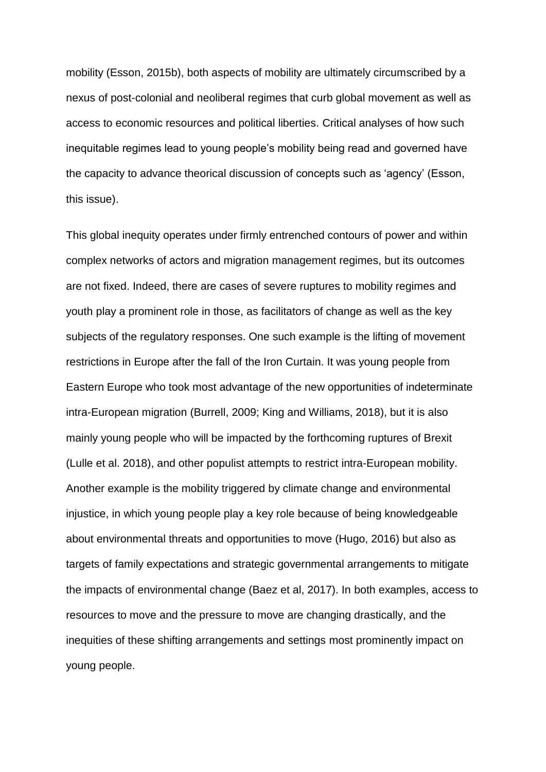mobility (Esson, 2015b), both aspects of mobility are ultimately circumscribed by a nexus of post-colonial and neoliberal regimes that curb global movement as well as access to economic resources and political liberties. Critical analyses of how such inequitable regimes lead to young people's mobility being read and governed have the capacity to advance theorical discussion of concepts such as 'agency' (Esson, this issue).

This global inequity operates under firmly entrenched contours of power and within complex networks of actors and migration management regimes, but its outcomes are not fixed. Indeed, there are cases of severe ruptures to mobility regimes and youth play a prominent role in those, as facilitators of change as well as the key subjects of the regulatory responses. One such example is the lifting of movement restrictions in Europe after the fall of the Iron Curtain. It was young people from Eastern Europe who took most advantage of the new opportunities of indeterminate intra-European migration (Burrell, 2009; King and Williams, 2018), but it is also mainly young people who will be impacted by the forthcoming ruptures of Brexit (Lulle et al. 2018), and other populist attempts to restrict intra-European mobility. Another example is the mobility triggered by climate change and environmental injustice, in which young people play a key role because of being knowledgeable about environmental threats and opportunities to move (Hugo, 2016) but also as targets of family expectations and strategic governmental arrangements to mitigate the impacts of environmental change (Baez et al, 2017). In both examples, access to resources to move and the pressure to move are changing drastically, and the inequities of these shifting arrangements and settings most prominently impact on young people.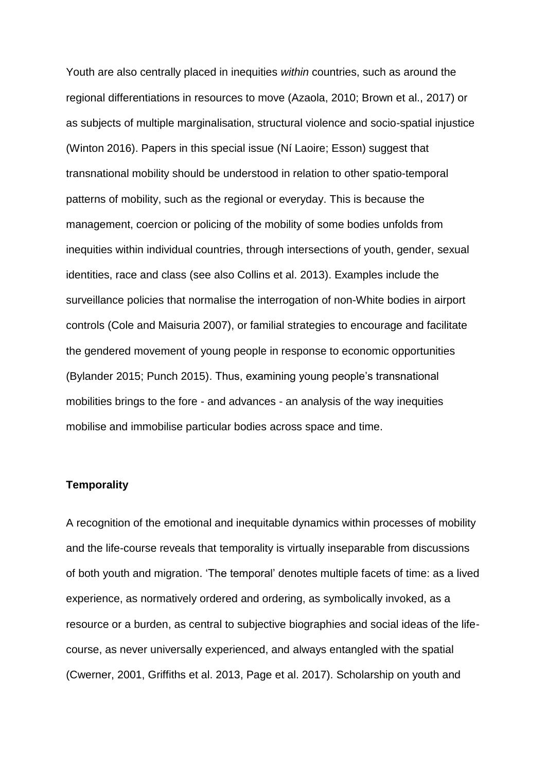Youth are also centrally placed in inequities *within* countries, such as around the regional differentiations in resources to move (Azaola, 2010; Brown et al., 2017) or as subjects of multiple marginalisation, structural violence and socio-spatial injustice (Winton 2016). Papers in this special issue (Ní Laoire; Esson) suggest that transnational mobility should be understood in relation to other spatio-temporal patterns of mobility, such as the regional or everyday. This is because the management, coercion or policing of the mobility of some bodies unfolds from inequities within individual countries, through intersections of youth, gender, sexual identities, race and class (see also Collins et al. 2013). Examples include the surveillance policies that normalise the interrogation of non-White bodies in airport controls (Cole and Maisuria 2007), or familial strategies to encourage and facilitate the gendered movement of young people in response to economic opportunities (Bylander 2015; Punch 2015). Thus, examining young people's transnational mobilities brings to the fore - and advances - an analysis of the way inequities mobilise and immobilise particular bodies across space and time.

### **Temporality**

A recognition of the emotional and inequitable dynamics within processes of mobility and the life-course reveals that temporality is virtually inseparable from discussions of both youth and migration. 'The temporal' denotes multiple facets of time: as a lived experience, as normatively ordered and ordering, as symbolically invoked, as a resource or a burden, as central to subjective biographies and social ideas of the lifecourse, as never universally experienced, and always entangled with the spatial (Cwerner, 2001, Griffiths et al. 2013, Page et al. 2017). Scholarship on youth and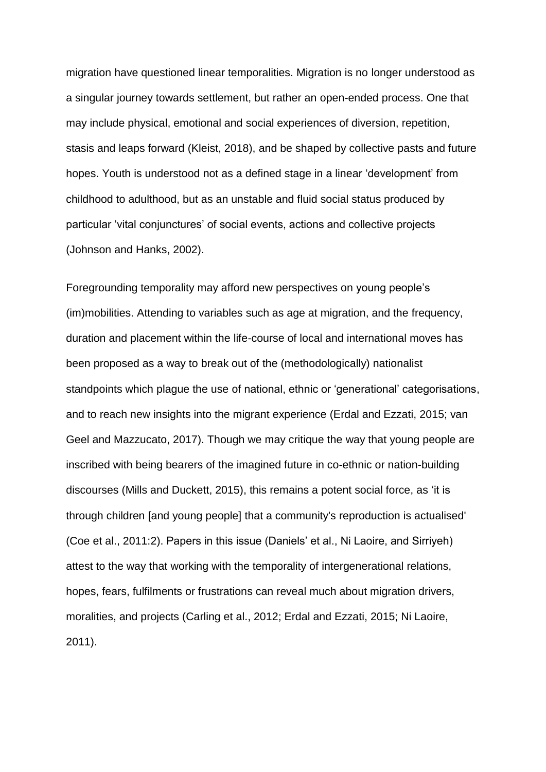migration have questioned linear temporalities. Migration is no longer understood as a singular journey towards settlement, but rather an open-ended process. One that may include physical, emotional and social experiences of diversion, repetition, stasis and leaps forward (Kleist, 2018), and be shaped by collective pasts and future hopes. Youth is understood not as a defined stage in a linear 'development' from childhood to adulthood, but as an unstable and fluid social status produced by particular 'vital conjunctures' of social events, actions and collective projects (Johnson and Hanks, 2002).

Foregrounding temporality may afford new perspectives on young people's (im)mobilities. Attending to variables such as age at migration, and the frequency, duration and placement within the life-course of local and international moves has been proposed as a way to break out of the (methodologically) nationalist standpoints which plague the use of national, ethnic or 'generational' categorisations, and to reach new insights into the migrant experience (Erdal and Ezzati, 2015; van Geel and Mazzucato, 2017). Though we may critique the way that young people are inscribed with being bearers of the imagined future in co-ethnic or nation-building discourses (Mills and Duckett, 2015), this remains a potent social force, as 'it is through children [and young people] that a community's reproduction is actualised' (Coe et al., 2011:2). Papers in this issue (Daniels' et al., Ni Laoire, and Sirriyeh) attest to the way that working with the temporality of intergenerational relations, hopes, fears, fulfilments or frustrations can reveal much about migration drivers, moralities, and projects (Carling et al., 2012; Erdal and Ezzati, 2015; Ni Laoire, 2011).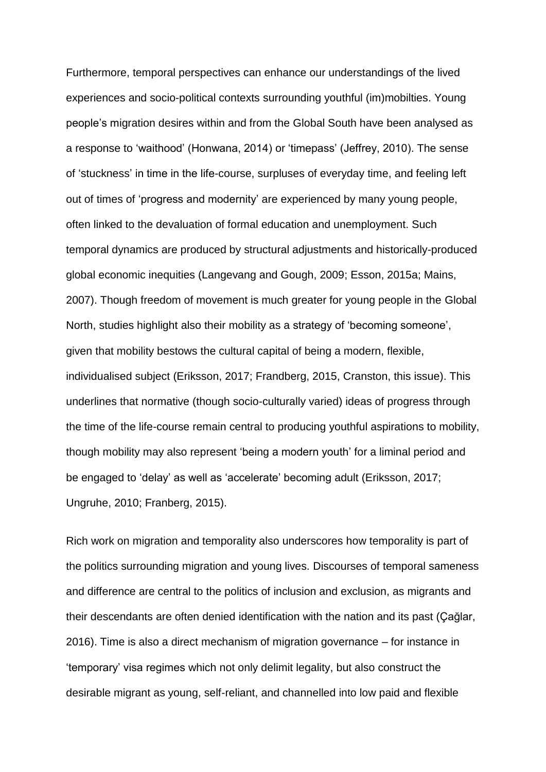Furthermore, temporal perspectives can enhance our understandings of the lived experiences and socio-political contexts surrounding youthful (im)mobilties. Young people's migration desires within and from the Global South have been analysed as a response to 'waithood' (Honwana, 2014) or 'timepass' (Jeffrey, 2010). The sense of 'stuckness' in time in the life-course, surpluses of everyday time, and feeling left out of times of 'progress and modernity' are experienced by many young people, often linked to the devaluation of formal education and unemployment. Such temporal dynamics are produced by structural adjustments and historically-produced global economic inequities (Langevang and Gough, 2009; Esson, 2015a; Mains, 2007). Though freedom of movement is much greater for young people in the Global North, studies highlight also their mobility as a strategy of 'becoming someone', given that mobility bestows the cultural capital of being a modern, flexible, individualised subject (Eriksson, 2017; Frandberg, 2015, Cranston, this issue). This underlines that normative (though socio-culturally varied) ideas of progress through the time of the life-course remain central to producing youthful aspirations to mobility, though mobility may also represent 'being a modern youth' for a liminal period and be engaged to 'delay' as well as 'accelerate' becoming adult (Eriksson, 2017; Ungruhe, 2010; Franberg, 2015).

Rich work on migration and temporality also underscores how temporality is part of the politics surrounding migration and young lives. Discourses of temporal sameness and difference are central to the politics of inclusion and exclusion, as migrants and their descendants are often denied identification with the nation and its past (Çağlar, 2016). Time is also a direct mechanism of migration governance – for instance in 'temporary' visa regimes which not only delimit legality, but also construct the desirable migrant as young, self-reliant, and channelled into low paid and flexible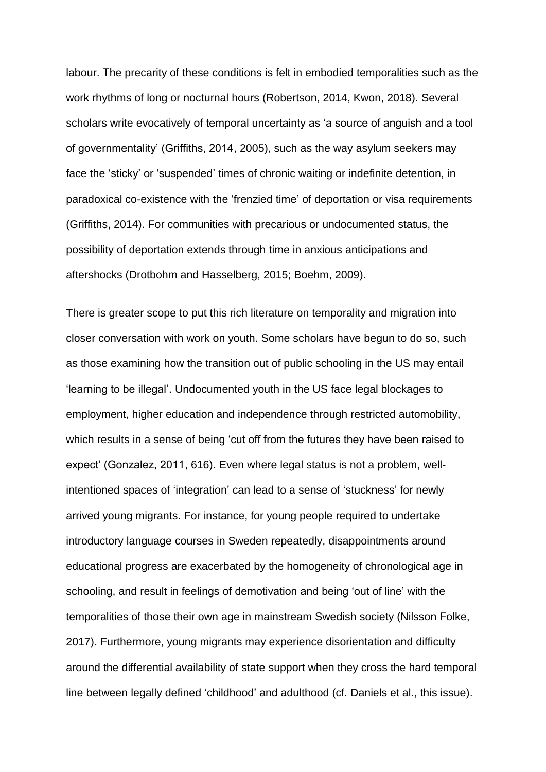labour. The precarity of these conditions is felt in embodied temporalities such as the work rhythms of long or nocturnal hours (Robertson, 2014, Kwon, 2018). Several scholars write evocatively of temporal uncertainty as 'a source of anguish and a tool of governmentality' (Griffiths, 2014, 2005), such as the way asylum seekers may face the 'sticky' or 'suspended' times of chronic waiting or indefinite detention, in paradoxical co-existence with the 'frenzied time' of deportation or visa requirements (Griffiths, 2014). For communities with precarious or undocumented status, the possibility of deportation extends through time in anxious anticipations and aftershocks (Drotbohm and Hasselberg, 2015; Boehm, 2009).

There is greater scope to put this rich literature on temporality and migration into closer conversation with work on youth. Some scholars have begun to do so, such as those examining how the transition out of public schooling in the US may entail 'learning to be illegal'. Undocumented youth in the US face legal blockages to employment, higher education and independence through restricted automobility, which results in a sense of being 'cut off from the futures they have been raised to expect' (Gonzalez, 2011, 616). Even where legal status is not a problem, wellintentioned spaces of 'integration' can lead to a sense of 'stuckness' for newly arrived young migrants. For instance, for young people required to undertake introductory language courses in Sweden repeatedly, disappointments around educational progress are exacerbated by the homogeneity of chronological age in schooling, and result in feelings of demotivation and being 'out of line' with the temporalities of those their own age in mainstream Swedish society (Nilsson Folke, 2017). Furthermore, young migrants may experience disorientation and difficulty around the differential availability of state support when they cross the hard temporal line between legally defined 'childhood' and adulthood (cf. Daniels et al., this issue).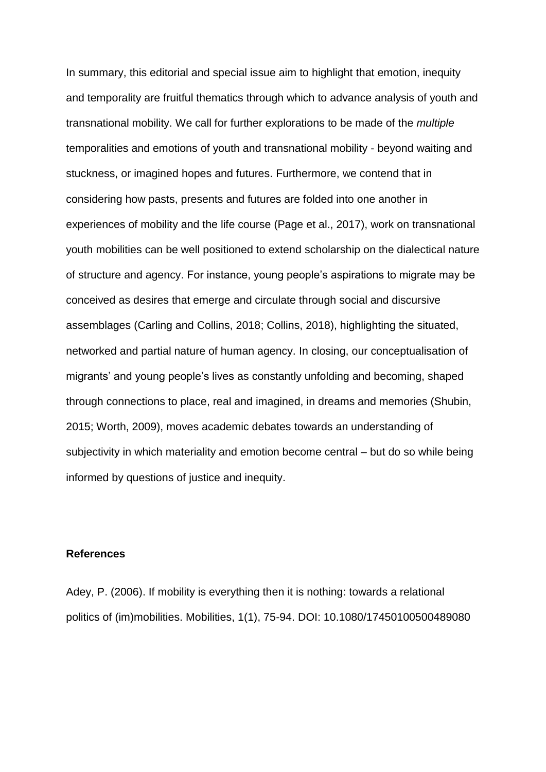In summary, this editorial and special issue aim to highlight that emotion, inequity and temporality are fruitful thematics through which to advance analysis of youth and transnational mobility. We call for further explorations to be made of the *multiple*  temporalities and emotions of youth and transnational mobility - beyond waiting and stuckness, or imagined hopes and futures. Furthermore, we contend that in considering how pasts, presents and futures are folded into one another in experiences of mobility and the life course (Page et al., 2017), work on transnational youth mobilities can be well positioned to extend scholarship on the dialectical nature of structure and agency. For instance, young people's aspirations to migrate may be conceived as desires that emerge and circulate through social and discursive assemblages (Carling and Collins, 2018; Collins, 2018), highlighting the situated, networked and partial nature of human agency. In closing, our conceptualisation of migrants' and young people's lives as constantly unfolding and becoming, shaped through connections to place, real and imagined, in dreams and memories (Shubin, 2015; Worth, 2009), moves academic debates towards an understanding of subjectivity in which materiality and emotion become central – but do so while being informed by questions of justice and inequity.

#### **References**

Adey, P. (2006). If mobility is everything then it is nothing: towards a relational politics of (im)mobilities. Mobilities, 1(1), 75-94. DOI: 10.1080/17450100500489080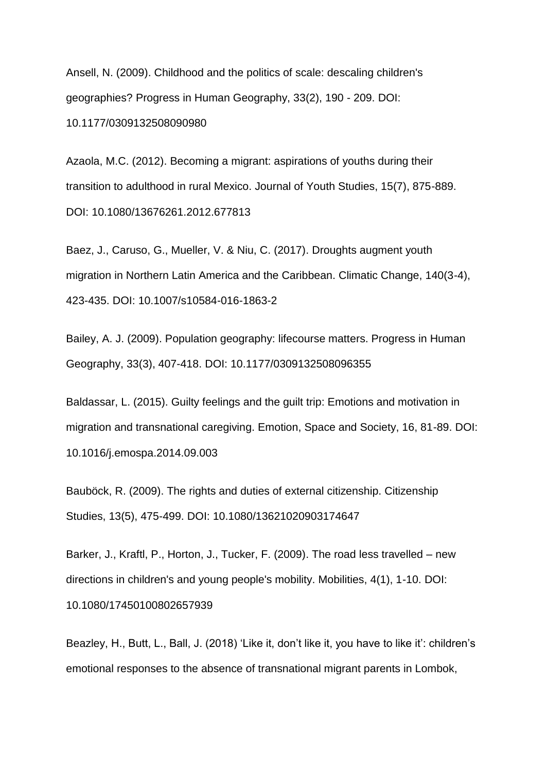Ansell, N. (2009). Childhood and the politics of scale: descaling children's geographies? Progress in Human Geography, 33(2), 190 - 209. DOI: 10.1177/0309132508090980

Azaola, M.C. (2012). Becoming a migrant: aspirations of youths during their transition to adulthood in rural Mexico. Journal of Youth Studies, 15(7), 875-889. DOI: 10.1080/13676261.2012.677813

Baez, J., Caruso, G., Mueller, V. & Niu, C. (2017). Droughts augment youth migration in Northern Latin America and the Caribbean. Climatic Change, 140(3-4), 423-435. DOI: 10.1007/s10584-016-1863-2

Bailey, A. J. (2009). Population geography: lifecourse matters. Progress in Human Geography, 33(3), 407-418. DOI: 10.1177/0309132508096355

Baldassar, L. (2015). Guilty feelings and the guilt trip: Emotions and motivation in migration and transnational caregiving. Emotion, Space and Society, 16, 81-89. DOI: 10.1016/j.emospa.2014.09.003

Bauböck, R. (2009). The rights and duties of external citizenship. Citizenship Studies, 13(5), 475-499. DOI: 10.1080/13621020903174647

Barker, J., Kraftl, P., Horton, J., Tucker, F. (2009). The road less travelled – new directions in children's and young people's mobility. Mobilities, 4(1), 1-10. DOI: 10.1080/17450100802657939

Beazley, H., Butt, L., Ball, J. (2018) 'Like it, don't like it, you have to like it': children's emotional responses to the absence of transnational migrant parents in Lombok,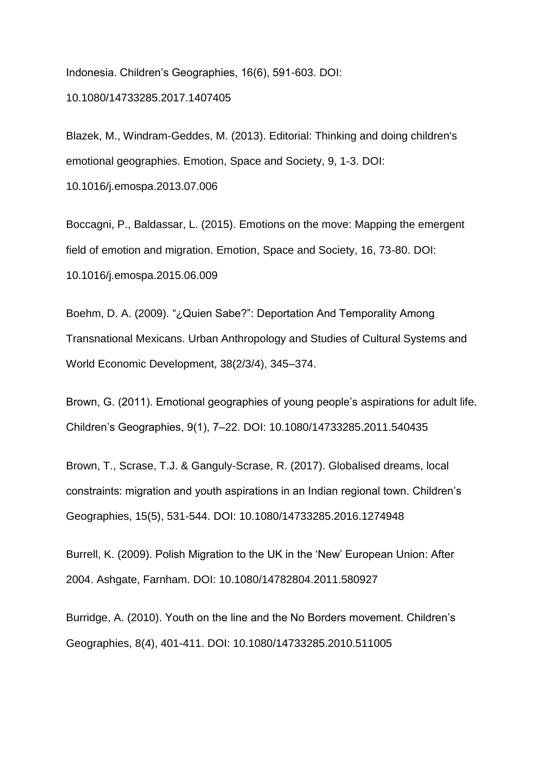Indonesia. Children's Geographies, 16(6), 591-603. DOI: 10.1080/14733285.2017.1407405

Blazek, M., Windram-Geddes, M. (2013). Editorial: Thinking and doing children's emotional geographies. Emotion, Space and Society, 9, 1-3. DOI:

10.1016/j.emospa.2013.07.006

Boccagni, P., Baldassar, L. (2015). Emotions on the move: Mapping the emergent field of emotion and migration. Emotion, Space and Society, 16, 73-80. DOI: 10.1016/j.emospa.2015.06.009

Boehm, D. A. (2009). "¿Quien Sabe?": Deportation And Temporality Among Transnational Mexicans. Urban Anthropology and Studies of Cultural Systems and World Economic Development, 38(2/3/4), 345–374.

Brown, G. (2011). Emotional geographies of young people's aspirations for adult life. Children's Geographies, 9(1), 7–22. DOI: 10.1080/14733285.2011.540435

Brown, T., Scrase, T.J. & Ganguly-Scrase, R. (2017). Globalised dreams, local constraints: migration and youth aspirations in an Indian regional town. Children's Geographies, 15(5), 531-544. DOI: 10.1080/14733285.2016.1274948

Burrell, K. (2009). Polish Migration to the UK in the 'New' European Union: After 2004. Ashgate, Farnham. DOI: 10.1080/14782804.2011.580927

Burridge, A. (2010). Youth on the line and the No Borders movement. Children's Geographies, 8(4), 401-411. DOI: 10.1080/14733285.2010.511005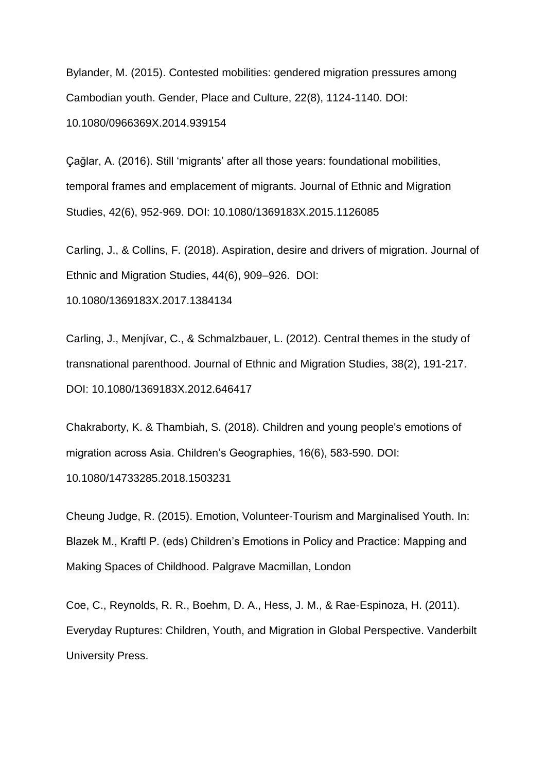Bylander, M. (2015). Contested mobilities: gendered migration pressures among Cambodian youth. Gender, Place and Culture, 22(8), 1124-1140. DOI: 10.1080/0966369X.2014.939154

Çağlar, A. (2016). Still 'migrants' after all those years: foundational mobilities, temporal frames and emplacement of migrants. Journal of Ethnic and Migration Studies, 42(6), 952-969. DOI: 10.1080/1369183X.2015.1126085

Carling, J., & Collins, F. (2018). Aspiration, desire and drivers of migration. Journal of Ethnic and Migration Studies, 44(6), 909–926. DOI:

10.1080/1369183X.2017.1384134

Carling, J., Menjívar, C., & Schmalzbauer, L. (2012). Central themes in the study of transnational parenthood. Journal of Ethnic and Migration Studies, 38(2), 191-217. DOI: 10.1080/1369183X.2012.646417

Chakraborty, K. & Thambiah, S. (2018). Children and young people's emotions of migration across Asia. Children's Geographies, 16(6), 583-590. DOI: 10.1080/14733285.2018.1503231

Cheung Judge, R. (2015). Emotion, Volunteer-Tourism and Marginalised Youth. In: Blazek M., Kraftl P. (eds) Children's Emotions in Policy and Practice: Mapping and Making Spaces of Childhood. Palgrave Macmillan, London

Coe, C., Reynolds, R. R., Boehm, D. A., Hess, J. M., & Rae-Espinoza, H. (2011). Everyday Ruptures: Children, Youth, and Migration in Global Perspective. Vanderbilt University Press.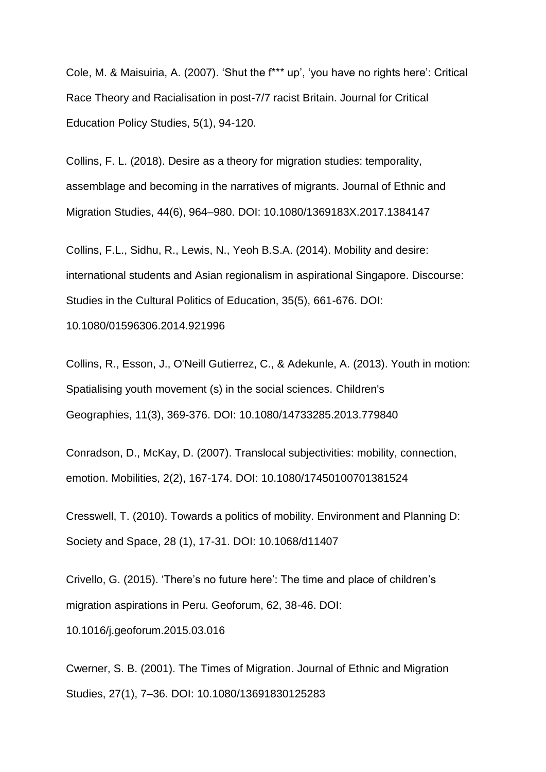Cole, M. & Maisuiria, A. (2007). 'Shut the f\*\*\* up', 'you have no rights here': Critical Race Theory and Racialisation in post-7/7 racist Britain. Journal for Critical Education Policy Studies, 5(1), 94-120.

Collins, F. L. (2018). Desire as a theory for migration studies: temporality, assemblage and becoming in the narratives of migrants. Journal of Ethnic and Migration Studies, 44(6), 964–980. DOI: 10.1080/1369183X.2017.1384147

Collins, F.L., Sidhu, R., Lewis, N., Yeoh B.S.A. (2014). Mobility and desire: international students and Asian regionalism in aspirational Singapore. Discourse: Studies in the Cultural Politics of Education, 35(5), 661-676. DOI: 10.1080/01596306.2014.921996

Collins, R., Esson, J., O'Neill Gutierrez, C., & Adekunle, A. (2013). Youth in motion: Spatialising youth movement (s) in the social sciences. Children's Geographies, 11(3), 369-376. DOI: 10.1080/14733285.2013.779840

Conradson, D., McKay, D. (2007). Translocal subjectivities: mobility, connection, emotion. Mobilities, 2(2), 167-174. DOI: 10.1080/17450100701381524

Cresswell, T. (2010). Towards a politics of mobility. Environment and Planning D: Society and Space, 28 (1), 17-31. DOI: 10.1068/d11407

Crivello, G. (2015). 'There's no future here': The time and place of children's migration aspirations in Peru. Geoforum, 62, 38-46. DOI: 10.1016/j.geoforum.2015.03.016

Cwerner, S. B. (2001). The Times of Migration. Journal of Ethnic and Migration Studies, 27(1), 7–36. DOI: 10.1080/13691830125283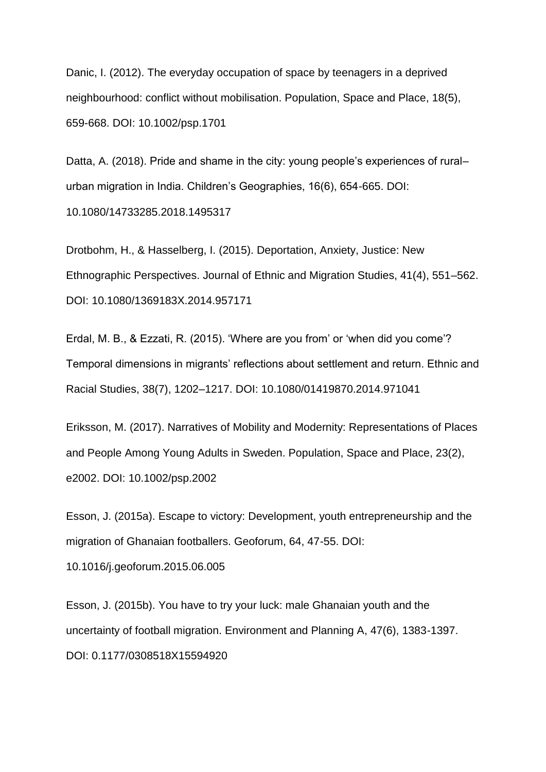Danic, I. (2012). The everyday occupation of space by teenagers in a deprived neighbourhood: conflict without mobilisation. Population, Space and Place, 18(5), 659-668. DOI: 10.1002/psp.1701

Datta, A. (2018). Pride and shame in the city: young people's experiences of rural– urban migration in India. Children's Geographies, 16(6), 654-665. DOI: 10.1080/14733285.2018.1495317

Drotbohm, H., & Hasselberg, I. (2015). Deportation, Anxiety, Justice: New Ethnographic Perspectives. Journal of Ethnic and Migration Studies, 41(4), 551–562. DOI: 10.1080/1369183X.2014.957171

Erdal, M. B., & Ezzati, R. (2015). 'Where are you from' or 'when did you come'? Temporal dimensions in migrants' reflections about settlement and return. Ethnic and Racial Studies, 38(7), 1202–1217. DOI: 10.1080/01419870.2014.971041

Eriksson, M. (2017). Narratives of Mobility and Modernity: Representations of Places and People Among Young Adults in Sweden. Population, Space and Place, 23(2), e2002. DOI: 10.1002/psp.2002

Esson, J. (2015a). Escape to victory: Development, youth entrepreneurship and the migration of Ghanaian footballers. Geoforum, 64, 47-55. DOI: 10.1016/j.geoforum.2015.06.005

Esson, J. (2015b). You have to try your luck: male Ghanaian youth and the uncertainty of football migration. Environment and Planning A, 47(6), 1383-1397. DOI: 0.1177/0308518X15594920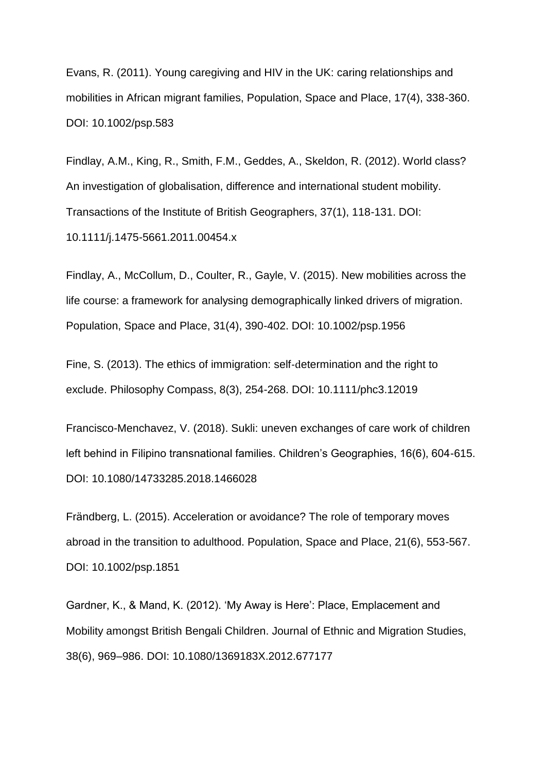Evans, R. (2011). Young caregiving and HIV in the UK: caring relationships and mobilities in African migrant families, Population, Space and Place, 17(4), 338-360. DOI: 10.1002/psp.583

Findlay, A.M., King, R., Smith, F.M., Geddes, A., Skeldon, R. (2012). World class? An investigation of globalisation, difference and international student mobility. Transactions of the Institute of British Geographers, 37(1), 118-131. DOI: 10.1111/j.1475-5661.2011.00454.x

Findlay, A., McCollum, D., Coulter, R., Gayle, V. (2015). New mobilities across the life course: a framework for analysing demographically linked drivers of migration. Population, Space and Place, 31(4), 390-402. DOI: 10.1002/psp.1956

Fine, S. (2013). The ethics of immigration: self‐determination and the right to exclude. Philosophy Compass, 8(3), 254-268. DOI: 10.1111/phc3.12019

Francisco-Menchavez, V. (2018). Sukli: uneven exchanges of care work of children left behind in Filipino transnational families. Children's Geographies, 16(6), 604-615. DOI: 10.1080/14733285.2018.1466028

Frändberg, L. (2015). Acceleration or avoidance? The role of temporary moves abroad in the transition to adulthood. Population, Space and Place, 21(6), 553-567. DOI: 10.1002/psp.1851

Gardner, K., & Mand, K. (2012). 'My Away is Here': Place, Emplacement and Mobility amongst British Bengali Children. Journal of Ethnic and Migration Studies, 38(6), 969–986. DOI: 10.1080/1369183X.2012.677177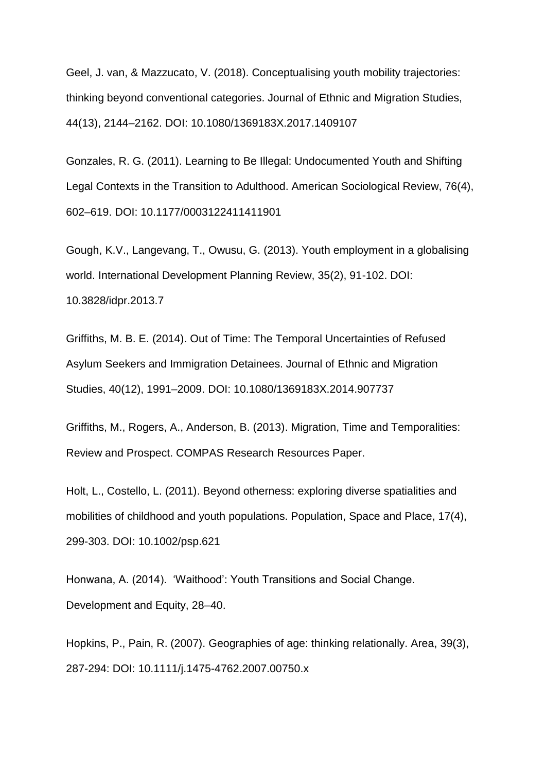Geel, J. van, & Mazzucato, V. (2018). Conceptualising youth mobility trajectories: thinking beyond conventional categories. Journal of Ethnic and Migration Studies, 44(13), 2144–2162. DOI: 10.1080/1369183X.2017.1409107

Gonzales, R. G. (2011). Learning to Be Illegal: Undocumented Youth and Shifting Legal Contexts in the Transition to Adulthood. American Sociological Review, 76(4), 602–619. DOI: 10.1177/0003122411411901

Gough, K.V., Langevang, T., Owusu, G. (2013). Youth employment in a globalising world. International Development Planning Review, 35(2), 91-102. DOI: 10.3828/idpr.2013.7

Griffiths, M. B. E. (2014). Out of Time: The Temporal Uncertainties of Refused Asylum Seekers and Immigration Detainees. Journal of Ethnic and Migration Studies, 40(12), 1991–2009. DOI: 10.1080/1369183X.2014.907737

Griffiths, M., Rogers, A., Anderson, B. (2013). Migration, Time and Temporalities: Review and Prospect. COMPAS Research Resources Paper.

Holt, L., Costello, L. (2011). Beyond otherness: exploring diverse spatialities and mobilities of childhood and youth populations. Population, Space and Place, 17(4), 299-303. DOI: 10.1002/psp.621

Honwana, A. (2014). 'Waithood': Youth Transitions and Social Change. Development and Equity, 28–40.

Hopkins, P., Pain, R. (2007). Geographies of age: thinking relationally. Area, 39(3), 287-294: DOI: 10.1111/j.1475-4762.2007.00750.x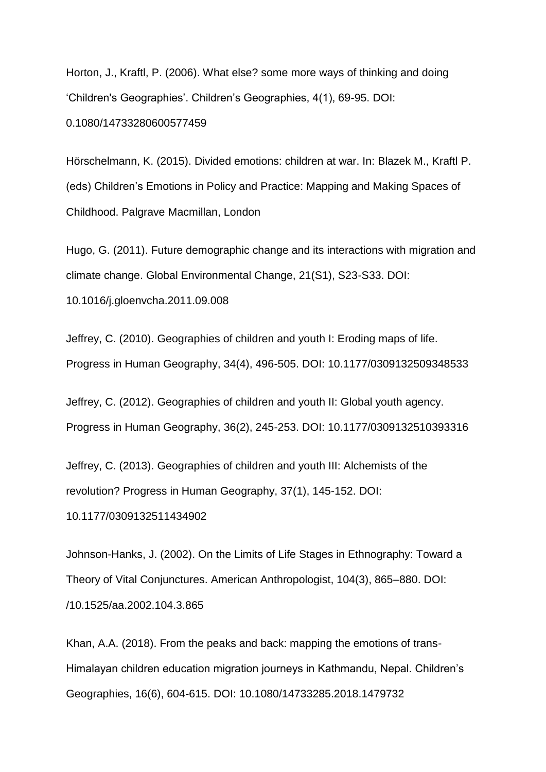Horton, J., Kraftl, P. (2006). What else? some more ways of thinking and doing 'Children's Geographies'. Children's Geographies, 4(1), 69-95. DOI: 0.1080/14733280600577459

Hörschelmann, K. (2015). Divided emotions: children at war. In: Blazek M., Kraftl P. (eds) Children's Emotions in Policy and Practice: Mapping and Making Spaces of Childhood. Palgrave Macmillan, London

Hugo, G. (2011). Future demographic change and its interactions with migration and climate change. Global Environmental Change, 21(S1), S23-S33. DOI:

10.1016/j.gloenvcha.2011.09.008

Jeffrey, C. (2010). Geographies of children and youth I: Eroding maps of life. Progress in Human Geography, 34(4), 496-505. DOI: 10.1177/0309132509348533

Jeffrey, C. (2012). Geographies of children and youth II: Global youth agency. Progress in Human Geography, 36(2), 245-253. DOI: 10.1177/0309132510393316

Jeffrey, C. (2013). Geographies of children and youth III: Alchemists of the revolution? Progress in Human Geography, 37(1), 145-152. DOI:

10.1177/0309132511434902

Johnson-Hanks, J. (2002). On the Limits of Life Stages in Ethnography: Toward a Theory of Vital Conjunctures. American Anthropologist, 104(3), 865–880. DOI: /10.1525/aa.2002.104.3.865

Khan, A.A. (2018). From the peaks and back: mapping the emotions of trans-Himalayan children education migration journeys in Kathmandu, Nepal. Children's Geographies, 16(6), 604-615. DOI: 10.1080/14733285.2018.1479732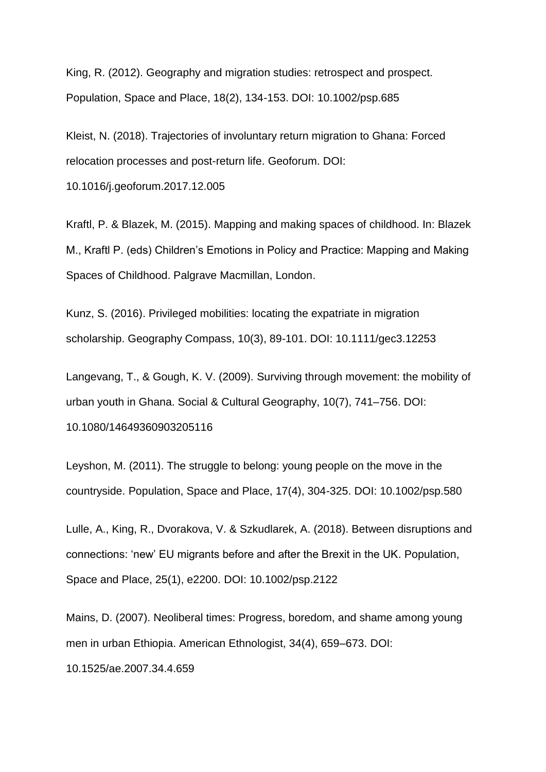King, R. (2012). Geography and migration studies: retrospect and prospect. Population, Space and Place, 18(2), 134-153. DOI: 10.1002/psp.685

Kleist, N. (2018). Trajectories of involuntary return migration to Ghana: Forced relocation processes and post-return life. Geoforum. DOI:

10.1016/j.geoforum.2017.12.005

Kraftl, P. & Blazek, M. (2015). Mapping and making spaces of childhood. In: Blazek M., Kraftl P. (eds) Children's Emotions in Policy and Practice: Mapping and Making Spaces of Childhood. Palgrave Macmillan, London.

Kunz, S. (2016). Privileged mobilities: locating the expatriate in migration scholarship. Geography Compass, 10(3), 89-101. DOI: 10.1111/gec3.12253

Langevang, T., & Gough, K. V. (2009). Surviving through movement: the mobility of urban youth in Ghana. Social & Cultural Geography, 10(7), 741–756. DOI: 10.1080/14649360903205116

Leyshon, M. (2011). The struggle to belong: young people on the move in the countryside. Population, Space and Place, 17(4), 304-325. DOI: 10.1002/psp.580

Lulle, A., King, R., Dvorakova, V. & Szkudlarek, A. (2018). Between disruptions and connections: 'new' EU migrants before and after the Brexit in the UK. Population, Space and Place, 25(1), e2200. DOI: 10.1002/psp.2122

Mains, D. (2007). Neoliberal times: Progress, boredom, and shame among young men in urban Ethiopia. American Ethnologist, 34(4), 659–673. DOI:

10.1525/ae.2007.34.4.659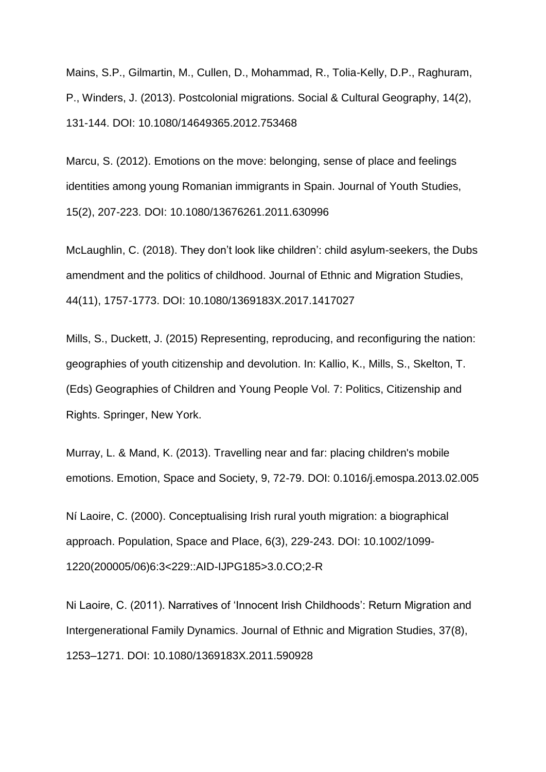Mains, S.P., Gilmartin, M., Cullen, D., Mohammad, R., Tolia-Kelly, D.P., Raghuram, P., Winders, J. (2013). Postcolonial migrations. Social & Cultural Geography, 14(2), 131-144. DOI: 10.1080/14649365.2012.753468

Marcu, S. (2012). Emotions on the move: belonging, sense of place and feelings identities among young Romanian immigrants in Spain. Journal of Youth Studies, 15(2), 207-223. DOI: 10.1080/13676261.2011.630996

McLaughlin, C. (2018). They don't look like children': child asylum-seekers, the Dubs amendment and the politics of childhood. Journal of Ethnic and Migration Studies, 44(11), 1757-1773. DOI: 10.1080/1369183X.2017.1417027

Mills, S., Duckett, J. (2015) Representing, reproducing, and reconfiguring the nation: geographies of youth citizenship and devolution. In: Kallio, K., Mills, S., Skelton, T. (Eds) Geographies of Children and Young People Vol. 7: Politics, Citizenship and Rights. Springer, New York.

Murray, L. & Mand, K. (2013). Travelling near and far: placing children's mobile emotions. Emotion, Space and Society, 9, 72-79. DOI: 0.1016/j.emospa.2013.02.005

Ní Laoire, C. (2000). Conceptualising Irish rural youth migration: a biographical approach. Population, Space and Place, 6(3), 229-243. DOI: 10.1002/1099- 1220(200005/06)6:3<229::AID-IJPG185>3.0.CO;2-R

Ni Laoire, C. (2011). Narratives of 'Innocent Irish Childhoods': Return Migration and Intergenerational Family Dynamics. Journal of Ethnic and Migration Studies, 37(8), 1253–1271. DOI: 10.1080/1369183X.2011.590928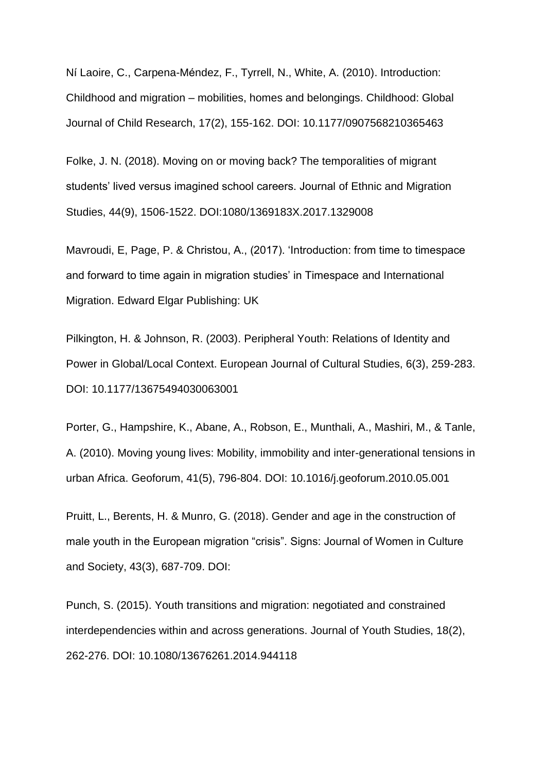Ní Laoire, C., Carpena-Méndez, F., Tyrrell, N., White, A. (2010). Introduction: Childhood and migration – mobilities, homes and belongings. Childhood: Global Journal of Child Research, 17(2), 155-162. DOI: 10.1177/0907568210365463

Folke, J. N. (2018). Moving on or moving back? The temporalities of migrant students' lived versus imagined school careers. Journal of Ethnic and Migration Studies, 44(9), 1506-1522. DOI:1080/1369183X.2017.1329008

Mavroudi, E, Page, P. & Christou, A., (2017). 'Introduction: from time to timespace and forward to time again in migration studies' in Timespace and International Migration. Edward Elgar Publishing: UK

Pilkington, H. & Johnson, R. (2003). Peripheral Youth: Relations of Identity and Power in Global/Local Context. European Journal of Cultural Studies, 6(3), 259-283. DOI: 10.1177/13675494030063001

Porter, G., Hampshire, K., Abane, A., Robson, E., Munthali, A., Mashiri, M., & Tanle, A. (2010). Moving young lives: Mobility, immobility and inter-generational tensions in urban Africa. Geoforum, 41(5), 796-804. DOI: 10.1016/j.geoforum.2010.05.001

Pruitt, L., Berents, H. & Munro, G. (2018). Gender and age in the construction of male youth in the European migration "crisis". Signs: Journal of Women in Culture and Society, 43(3), 687-709. DOI:

Punch, S. (2015). Youth transitions and migration: negotiated and constrained interdependencies within and across generations. Journal of Youth Studies, 18(2), 262-276. DOI: 10.1080/13676261.2014.944118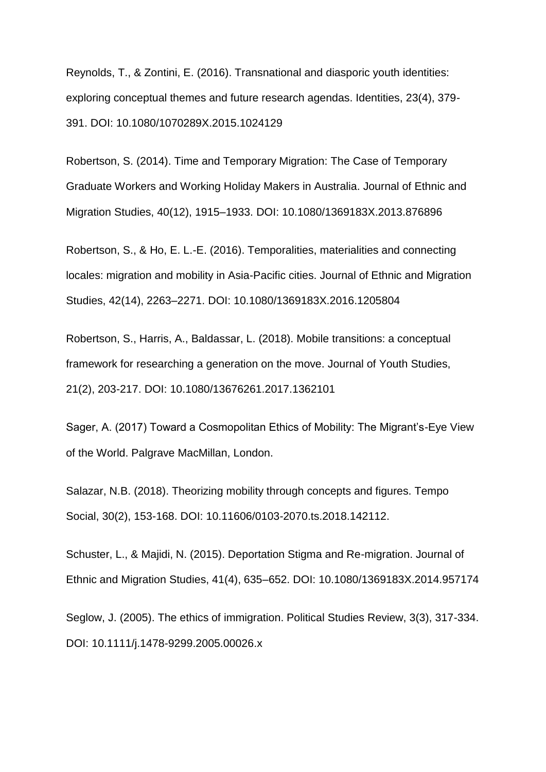Reynolds, T., & Zontini, E. (2016). Transnational and diasporic youth identities: exploring conceptual themes and future research agendas. Identities, 23(4), 379- 391. DOI: 10.1080/1070289X.2015.1024129

Robertson, S. (2014). Time and Temporary Migration: The Case of Temporary Graduate Workers and Working Holiday Makers in Australia. Journal of Ethnic and Migration Studies, 40(12), 1915–1933. DOI: 10.1080/1369183X.2013.876896

Robertson, S., & Ho, E. L.-E. (2016). Temporalities, materialities and connecting locales: migration and mobility in Asia-Pacific cities. Journal of Ethnic and Migration Studies, 42(14), 2263–2271. DOI: 10.1080/1369183X.2016.1205804

Robertson, S., Harris, A., Baldassar, L. (2018). Mobile transitions: a conceptual framework for researching a generation on the move. Journal of Youth Studies, 21(2), 203-217. DOI: 10.1080/13676261.2017.1362101

Sager, A. (2017) Toward a Cosmopolitan Ethics of Mobility: The Migrant's-Eye View of the World. Palgrave MacMillan, London.

Salazar, N.B. (2018). Theorizing mobility through concepts and figures. Tempo Social, 30(2), 153-168. DOI: 10.11606/0103-2070.ts.2018.142112.

Schuster, L., & Majidi, N. (2015). Deportation Stigma and Re-migration. Journal of Ethnic and Migration Studies, 41(4), 635–652. DOI: 10.1080/1369183X.2014.957174

Seglow, J. (2005). The ethics of immigration. Political Studies Review, 3(3), 317-334. DOI: 10.1111/j.1478-9299.2005.00026.x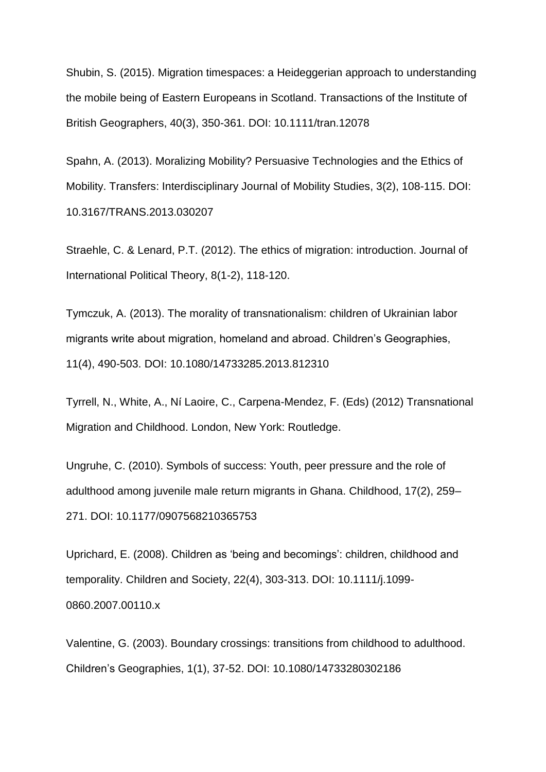Shubin, S. (2015). Migration timespaces: a Heideggerian approach to understanding the mobile being of Eastern Europeans in Scotland. Transactions of the Institute of British Geographers, 40(3), 350-361. DOI: 10.1111/tran.12078

Spahn, A. (2013). Moralizing Mobility? Persuasive Technologies and the Ethics of Mobility. Transfers: Interdisciplinary Journal of Mobility Studies, 3(2), 108-115. DOI: 10.3167/TRANS.2013.030207

Straehle, C. & Lenard, P.T. (2012). The ethics of migration: introduction. Journal of International Political Theory, 8(1-2), 118-120.

Tymczuk, A. (2013). The morality of transnationalism: children of Ukrainian labor migrants write about migration, homeland and abroad. Children's Geographies, 11(4), 490-503. DOI: 10.1080/14733285.2013.812310

Tyrrell, N., White, A., Ní Laoire, C., Carpena-Mendez, F. (Eds) (2012) Transnational Migration and Childhood. London, New York: Routledge.

Ungruhe, C. (2010). Symbols of success: Youth, peer pressure and the role of adulthood among juvenile male return migrants in Ghana. Childhood, 17(2), 259– 271. DOI: 10.1177/0907568210365753

Uprichard, E. (2008). Children as 'being and becomings': children, childhood and temporality. Children and Society, 22(4), 303-313. DOI: 10.1111/j.1099- 0860.2007.00110.x

Valentine, G. (2003). Boundary crossings: transitions from childhood to adulthood. Children's Geographies, 1(1), 37-52. DOI: 10.1080/14733280302186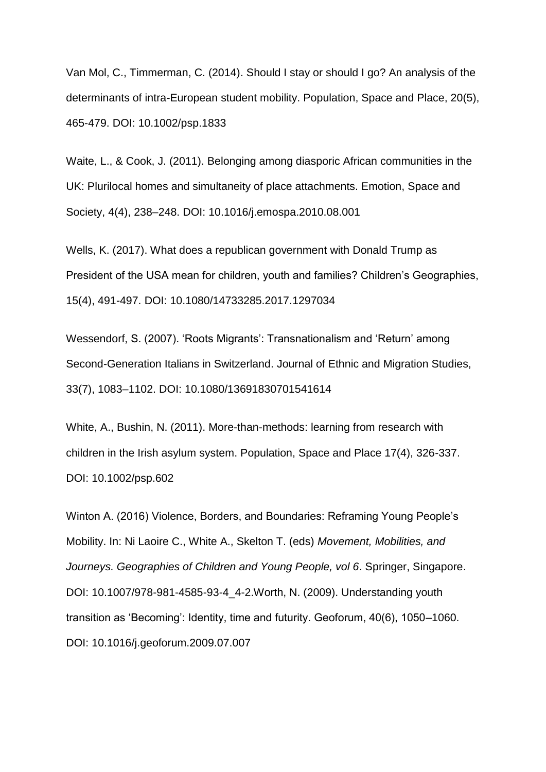Van Mol, C., Timmerman, C. (2014). Should I stay or should I go? An analysis of the determinants of intra-European student mobility. Population, Space and Place, 20(5), 465-479. DOI: 10.1002/psp.1833

Waite, L., & Cook, J. (2011). Belonging among diasporic African communities in the UK: Plurilocal homes and simultaneity of place attachments. Emotion, Space and Society, 4(4), 238–248. DOI: 10.1016/j.emospa.2010.08.001

Wells, K. (2017). What does a republican government with Donald Trump as President of the USA mean for children, youth and families? Children's Geographies, 15(4), 491-497. DOI: 10.1080/14733285.2017.1297034

Wessendorf, S. (2007). 'Roots Migrants': Transnationalism and 'Return' among Second-Generation Italians in Switzerland. Journal of Ethnic and Migration Studies, 33(7), 1083–1102. DOI: 10.1080/13691830701541614

White, A., Bushin, N. (2011). More-than-methods: learning from research with children in the Irish asylum system. Population, Space and Place 17(4), 326-337. DOI: 10.1002/psp.602

Winton A. (2016) Violence, Borders, and Boundaries: Reframing Young People's Mobility. In: Ni Laoire C., White A., Skelton T. (eds) *Movement, Mobilities, and Journeys. Geographies of Children and Young People, vol 6*. Springer, Singapore. DOI: 10.1007/978-981-4585-93-4\_4-2.Worth, N. (2009). Understanding youth transition as 'Becoming': Identity, time and futurity. Geoforum, 40(6), 1050–1060. DOI: 10.1016/j.geoforum.2009.07.007